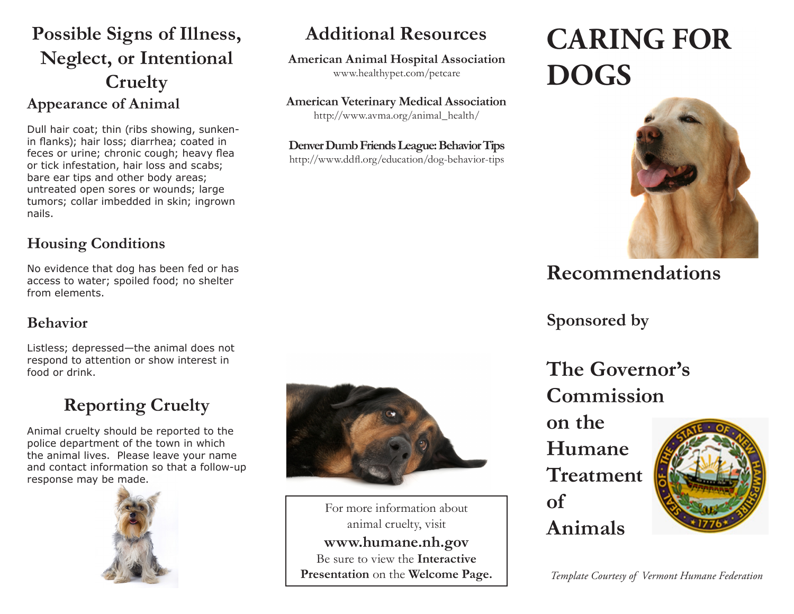## **Possible Signs of Illness, Neglect, or Intentional Cruelty Appearance of Animal**

Dull hair coat; thin (ribs showing, sunkenin flanks); hair loss; diarrhea; coated in feces or urine; chronic cough; heavy flea or tick infestation, hair loss and scabs; bare ear tips and other body areas; untreated open sores or wounds; large tumors; collar imbedded in skin; ingrown nails.

### **Housing Conditions**

No evidence that dog has been fed or has access to water; spoiled food; no shelter from elements.

### **Behavior**

Listless; depressed—the animal does not respond to attention or show interest in food or drink.

# **Reporting Cruelty**

Animal cruelty should be reported to the police department of the town in which the animal lives. Please leave your name and contact information so that a follow-up response may be made.





**Additional Resources**

**American Animal Hospital Association** www.healthypet.com/petcare

**American Veterinary Medical Association** http://www.avma.org/animal\_health/

**Denver Dumb Friends League: Behavior Tips** http://www.ddfl.org/education/dog-behavior-tips

For more information about animal cruelty, visit **www.humane.nh.gov** Be sure to view the **Interactive Presentation** on the **Welcome Page.**

# **CARING FOR DOGS**



## **Recommendations**

**Sponsored by**

**The Governor's Commission** 

**on the Humane Treatment of Animals**



*Template Courtesy of Vermont Humane Federation*